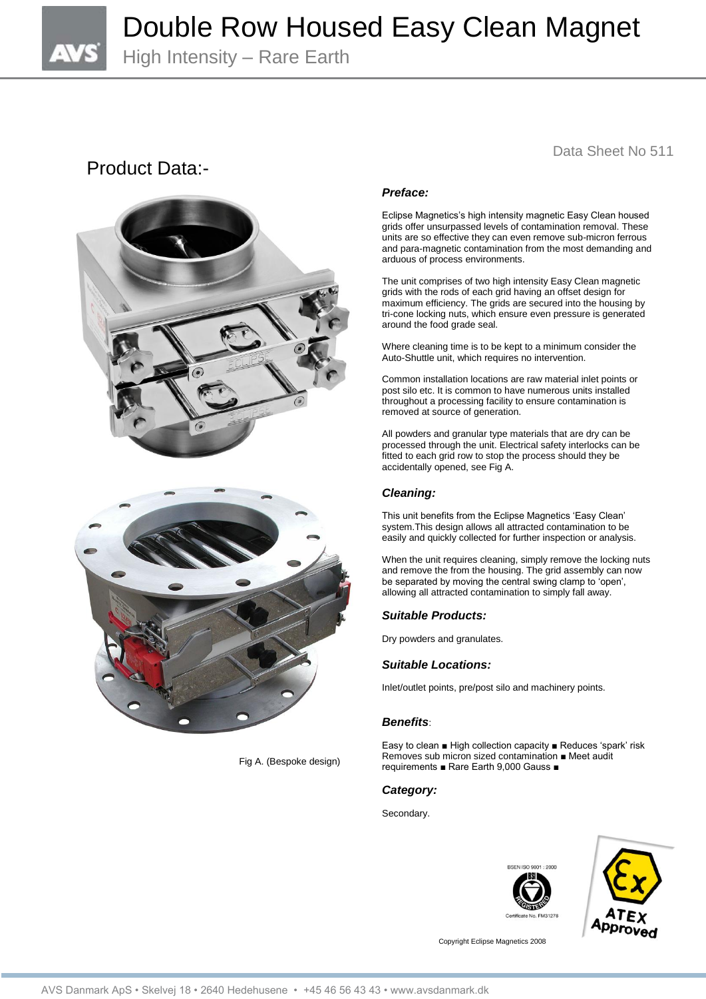Double Row Housed Easy Clean Magnet

High Intensity – Rare Earth

### Product Data:-





Fig A. (Bespoke design)

### Data Sheet No 511

### *Preface:*

Eclipse Magnetics"s high intensity magnetic Easy Clean housed grids offer unsurpassed levels of contamination removal. These units are so effective they can even remove sub-micron ferrous and para-magnetic contamination from the most demanding and arduous of process environments.

The unit comprises of two high intensity Easy Clean magnetic grids with the rods of each grid having an offset design for maximum efficiency. The grids are secured into the housing by tri-cone locking nuts, which ensure even pressure is generated around the food grade seal.

Where cleaning time is to be kept to a minimum consider the Auto-Shuttle unit, which requires no intervention.

Common installation locations are raw material inlet points or post silo etc. It is common to have numerous units installed throughout a processing facility to ensure contamination is removed at source of generation.

All powders and granular type materials that are dry can be processed through the unit. Electrical safety interlocks can be fitted to each grid row to stop the process should they be accidentally opened, see Fig A.

### *Cleaning:*

This unit benefits from the Eclipse Magnetics "Easy Clean" system.This design allows all attracted contamination to be easily and quickly collected for further inspection or analysis.

When the unit requires cleaning, simply remove the locking nuts and remove the from the housing. The grid assembly can now be separated by moving the central swing clamp to 'open', allowing all attracted contamination to simply fall away.

### *Suitable Products:*

Dry powders and granulates.

### *Suitable Locations:*

Inlet/outlet points, pre/post silo and machinery points.

### *Benefits*:

Easy to clean ■ High collection capacity ■ Reduces "spark" risk Removes sub micron sized contamination ■ Meet audit requirements ■ Rare Earth 9,000 Gauss ■

### *Category:*

Secondary.





Copyright Eclipse Magnetics 2008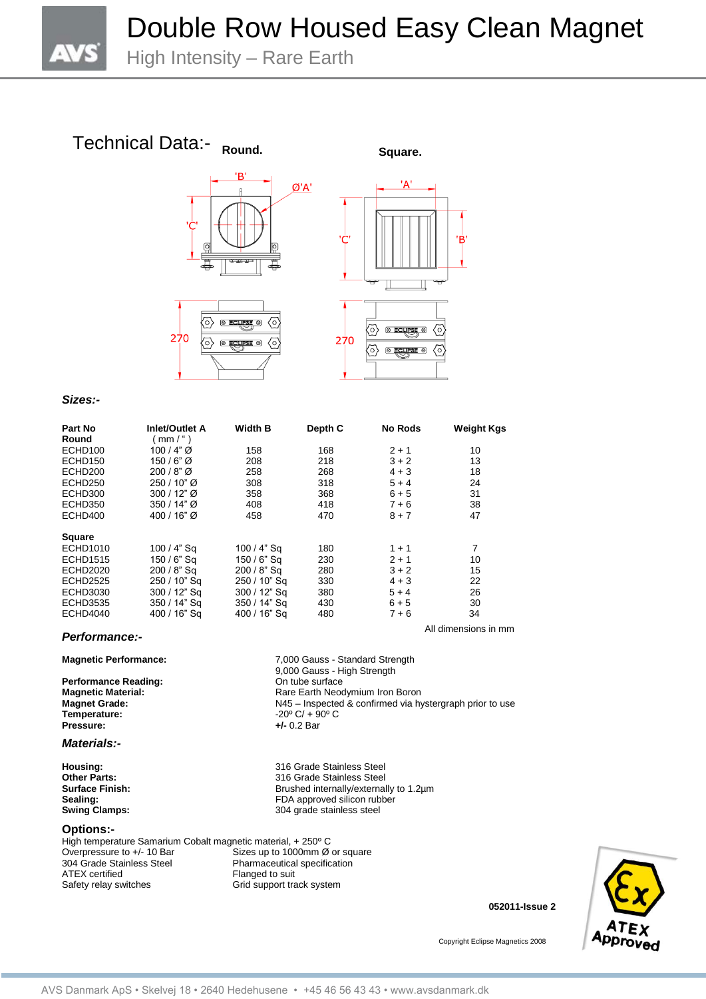Double Row Housed Easy Clean Magnet

High Intensity – Rare Earth

### Technical Data:- Round.





**Round. Square.**

### *Sizes:-*

| Part No<br>Round    | <b>Inlet/Outlet A</b><br>(mm/") | <b>Width B</b> | Depth C | <b>No Rods</b> | <b>Weight Kgs</b> |
|---------------------|---------------------------------|----------------|---------|----------------|-------------------|
| ECHD <sub>100</sub> | $100/4"$ Ø                      | 158            | 168     | $2 + 1$        | 10                |
| ECHD <sub>150</sub> | $150/6"$ Ø                      | 208            | 218     | $3 + 2$        | 13                |
| ECHD <sub>200</sub> | $200/8"$ Ø                      | 258            | 268     | $4 + 3$        | 18                |
| ECHD250             | 250 / 10" Ø                     | 308            | 318     | $5 + 4$        | 24                |
| ECHD300             | $300/12"$ Ø                     | 358            | 368     | $6 + 5$        | 31                |
| ECHD350             | $350/14"$ Ø                     | 408            | 418     | $7 + 6$        | 38                |
| ECHD400             | $400/16"$ Ø                     | 458            | 470     | $8 + 7$        | 47                |
| <b>Square</b>       |                                 |                |         |                |                   |
| ECHD1010            | $100/4"$ Sq                     | 100 / 4" Sq    | 180     | $1 + 1$        | 7                 |
| <b>ECHD1515</b>     | $150/6"$ Sq                     | 150 / 6" Sq    | 230     | $2 + 1$        | 10                |
| <b>ECHD2020</b>     | 200 / 8" Sq                     | 200 / 8" Sq    | 280     | $3 + 2$        | 15                |
| <b>ECHD2525</b>     | 250 / 10" Sq                    | 250 / 10" Sq   | 330     | $4 + 3$        | 22                |
| ECHD3030            | 300 / 12" Sq                    | 300 / 12" Sq   | 380     | $5 + 4$        | 26                |
| <b>ECHD3535</b>     | 350 / 14" Sq                    | 350 / 14" Sq   | 430     | $6 + 5$        | 30                |
| ECHD4040            | 400 / 16" Sa                    | 400 / 16" Sa   | 480     | $7 + 6$        | 34                |

9,000 Gauss - High Strength<br>On tube surface

**Swing Clamps:** 304 grade stainless steel

**Pressure: +/-** 0.2 Bar

N45 – Inspected & confirmed via hystergraph prior to use

All dimensions in mm

### *Performance:-*

#### **Magnetic Performance:** 7,000 Gauss - Standard Strength

**Performance Reading:**<br>Magnetic Material: **Magnetic Material:** Magnetic Material: The Society Rare Earth Neodymium Iron Boron<br>
Magnet Grade: National Research N45 – Inspected & confirmed via hy **Temperature:**  $-20^{\circ}$  C/ + 90<sup>°</sup> C<br>**Pressure:**  $+/-0.2$  Bar

#### *Materials:-*

**Housing:** 316 Grade Stainless Steel **Other Parts:** 316 Grade Stainless Steel **Surface Finish:** Brushed internally/externally to 1.2µm<br> **Sealing:** FDA approved silicon rubber **Sealing:** FDA approved silicon rubber<br> **Swing Clamps:** The sealing of the state of the state of the state of the state of the state of the state of the state of the state of the state of the state of the state of the stat

### **Options:-**

High temperature Samarium Cobalt magnetic material, + 250° C<br>Overpressure to +/- 10 Bar <br>Sizes up to 1000mm Ø Overpressure to +/- 10 Bar Sizes up to 1000mm Ø or square<br>304 Grade Stainless Steel Pharmaceutical specification Pharmaceutical specification<br>Flanged to suit

pproved

Copyright Eclipse Magnetics 2008

**052011-Issue 2**

### ATEX certified Safety relay switches Grid support track system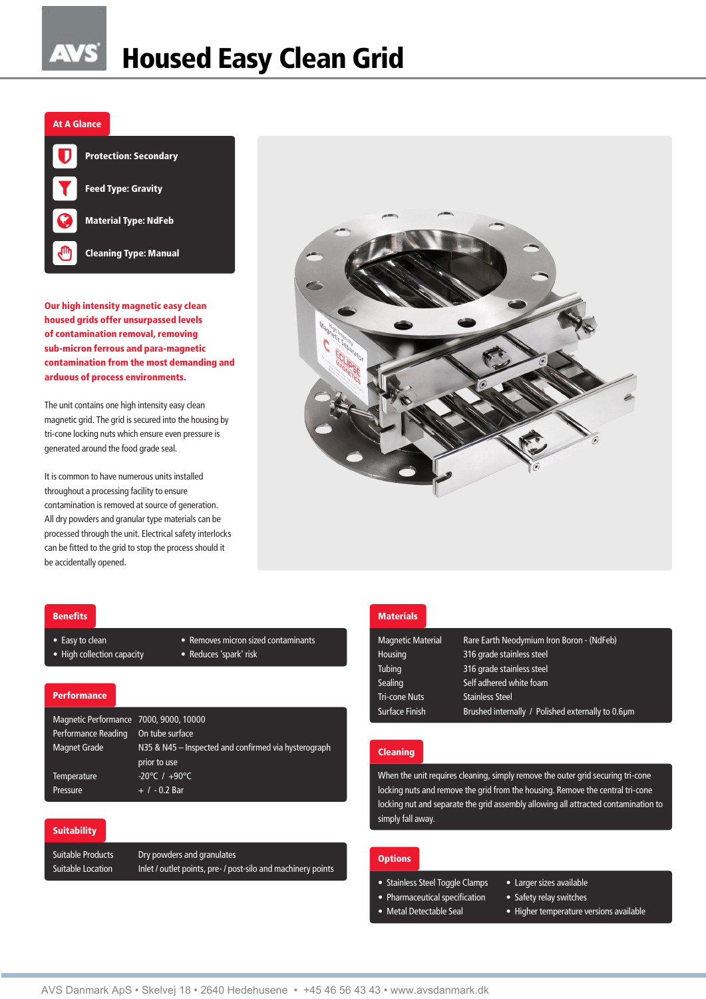### At A Glance



Our high intensity magnetic easy clean housed grids offer unsurpassed levels of contamination removal, removing sub-micron ferrous and para-magnetic contamination from the most demanding and arduous of process environments.

The unit contains one high intensity easy clean magnetic grid. The grid is secured into the housing by tri-cone locking nuts which ensure even pressure is generated around the food grade seal.

It is common to have numerous units installed throughout a processing facility to ensure contamination is removed at source of generation. All dry powders and granular type materials can be processed through the unit. Electrical safety interlocks can be fitted to the grid to stop the process should it be accidentally opened.



### Benefits

- Easy to clean Removes micron sized contaminants
- High collection capacity Reduces 'spark' risk
- 

### **Performance**

| Magnetic Performance 7000, 9000, 10000 |                                                      |
|----------------------------------------|------------------------------------------------------|
| Performance Reading                    | On tube surface                                      |
| <b>Magnet Grade</b>                    | N35 & N45 – Inspected and confirmed via hysterograph |
|                                        | prior to use                                         |
| Temperature                            | $-20^{\circ}$ C / $+90^{\circ}$ C                    |
| Pressure                               | $+$ / $-$ 0.2 Bar                                    |

### **Suitability**

Suitable Products Dry powders and granulates Suitable Location Inlet / outlet points, pre- / post-silo and machinery points

### Materials

| <b>Magnetic Material</b> | Rare Earth Neodymium Iron Boron - (NdFeb)         |
|--------------------------|---------------------------------------------------|
| Housing                  | 316 grade stainless steel                         |
| <b>Tubing</b>            | 316 grade stainless steel                         |
| <b>Sealing</b>           | Self adhered white foam                           |
| <b>Tri-cone Nuts</b>     | <b>Stainless Steel</b>                            |
| Surface Finish           | Brushed internally / Polished externally to 0.6um |

### **Cleaning**

When the unit requires cleaning, simply remove the outer grid securing tri-cone locking nuts and remove the grid from the housing. Remove the central tri-cone locking nut and separate the grid assembly allowing all attracted contamination to simply fall away.

### **Options**

- Stainless Steel Toggle Clamps Larger sizes available
- Pharmaceutical specification Safety relay switches
	-
- -
- Metal Detectable Seal Higher temperature versions available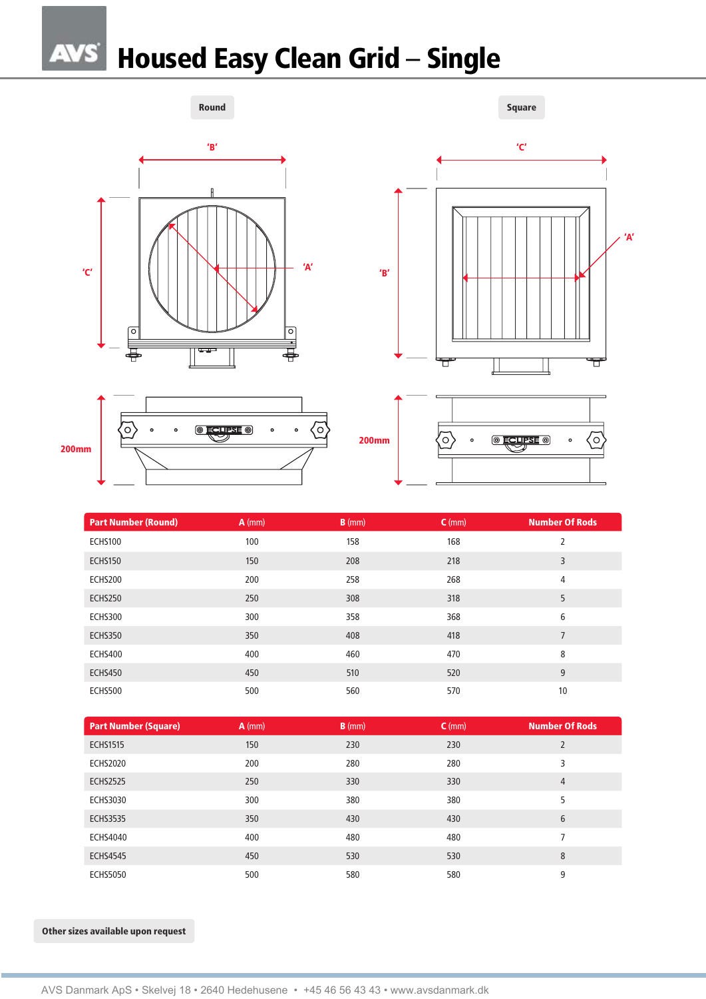# **AVS** Housed Easy Clean Grid – Single

Round Square

![](_page_3_Figure_1.jpeg)

![](_page_3_Figure_2.jpeg)

|              | $\bullet$ | $\bullet$ | $\circ$ ECLIPSE $\circ$ | $\bullet$ | $\bullet$ |  |
|--------------|-----------|-----------|-------------------------|-----------|-----------|--|
| <b>200mm</b> |           |           |                         |           |           |  |
|              |           |           |                         |           |           |  |

| <b>Part Number (Round)</b> | $A$ (mm) | $B$ (mm) | $C$ (mm) | <b>Number Of Rods</b> |
|----------------------------|----------|----------|----------|-----------------------|
| ECHS100                    | 100      | 158      | 168      | 2                     |
| <b>ECHS150</b>             | 150      | 208      | 218      | 3                     |
| ECHS200                    | 200      | 258      | 268      | 4                     |
| ECHS250                    | 250      | 308      | 318      | 5                     |
| ECHS300                    | 300      | 358      | 368      | 6                     |
| <b>ECHS350</b>             | 350      | 408      | 418      | $\overline{7}$        |
| ECHS400                    | 400      | 460      | 470      | 8                     |
| ECHS450                    | 450      | 510      | 520      | 9                     |
| ECHS500                    | 500      | 560      | 570      | 10                    |

| <b>Part Number (Square)</b> | $A$ (mm) | $B$ (mm) | $C$ (mm) | <b>Number Of Rods</b> |
|-----------------------------|----------|----------|----------|-----------------------|
| <b>ECHS1515</b>             | 150      | 230      | 230      | $\overline{2}$        |
| <b>ECHS2020</b>             | 200      | 280      | 280      | 3                     |
| <b>ECHS2525</b>             | 250      | 330      | 330      | $\overline{4}$        |
| <b>ECHS3030</b>             | 300      | 380      | 380      | 5                     |
| <b>ECHS3535</b>             | 350      | 430      | 430      | 6                     |
| <b>ECHS4040</b>             | 400      | 480      | 480      | 7                     |
| <b>ECHS4545</b>             | 450      | 530      | 530      | 8                     |
| <b>ECHS5050</b>             | 500      | 580      | 580      | 9                     |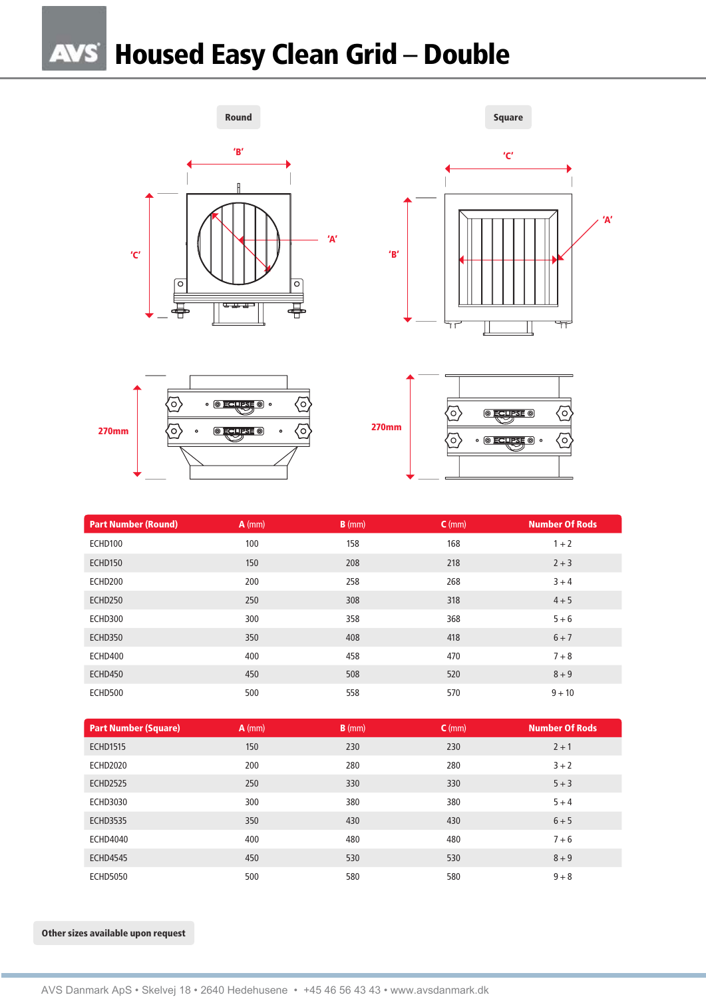## Housed Easy Clean Grid – Double

![](_page_4_Figure_1.jpeg)

![](_page_4_Figure_2.jpeg)

![](_page_4_Figure_3.jpeg)

![](_page_4_Figure_4.jpeg)

| <b>Part Number (Round)</b> | $A$ (mm) | $B$ (mm) | $C$ (mm) | <b>Number Of Rods</b> |
|----------------------------|----------|----------|----------|-----------------------|
| ECHD100                    | 100      | 158      | 168      | $1 + 2$               |
| ECHD150                    | 150      | 208      | 218      | $2 + 3$               |
| ECHD200                    | 200      | 258      | 268      | $3 + 4$               |
| ECHD250                    | 250      | 308      | 318      | $4 + 5$               |
| ECHD300                    | 300      | 358      | 368      | $5 + 6$               |
| ECHD350                    | 350      | 408      | 418      | $6 + 7$               |
| ECHD400                    | 400      | 458      | 470      | $7 + 8$               |
| ECHD450                    | 450      | 508      | 520      | $8 + 9$               |
| ECHD500                    | 500      | 558      | 570      | $9 + 10$              |

| <b>Part Number (Square)</b> | $A$ (mm) | $B$ (mm) | $C$ (mm) | <b>Number Of Rods</b> |
|-----------------------------|----------|----------|----------|-----------------------|
| <b>ECHD1515</b>             | 150      | 230      | 230      | $2 + 1$               |
| <b>ECHD2020</b>             | 200      | 280      | 280      | $3 + 2$               |
| <b>ECHD2525</b>             | 250      | 330      | 330      | $5 + 3$               |
| <b>ECHD3030</b>             | 300      | 380      | 380      | $5 + 4$               |
| <b>ECHD3535</b>             | 350      | 430      | 430      | $6 + 5$               |
| <b>ECHD4040</b>             | 400      | 480      | 480      | $7 + 6$               |
| <b>ECHD4545</b>             | 450      | 530      | 530      | $8 + 9$               |
| <b>ECHD5050</b>             | 500      | 580      | 580      | $9 + 8$               |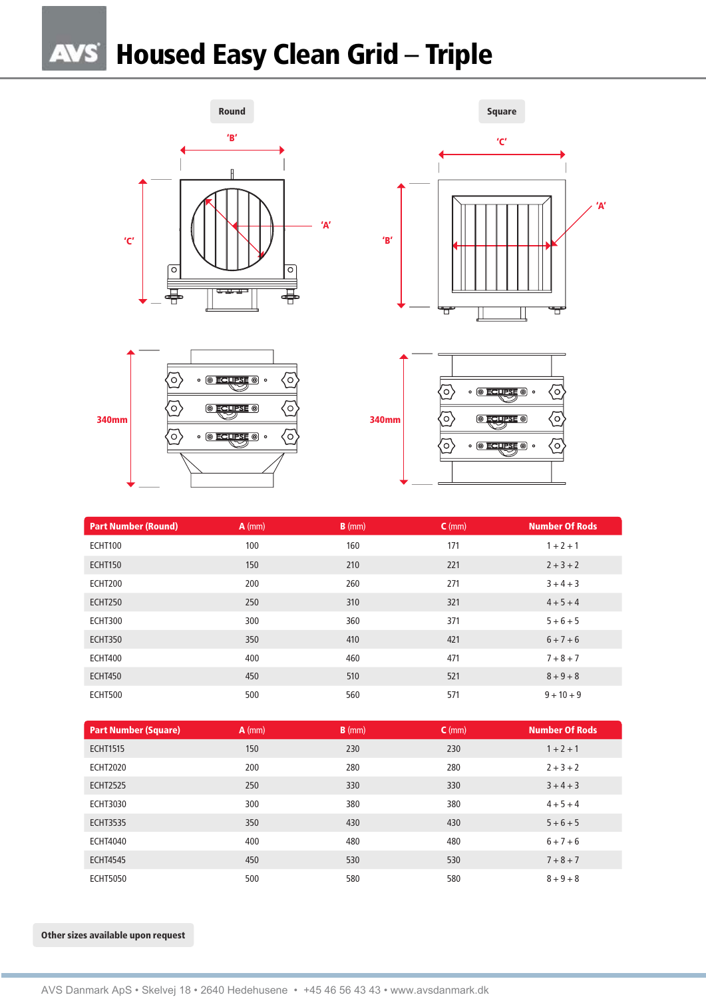## **AVS** Housed Easy Clean Grid – Triple

![](_page_5_Figure_1.jpeg)

![](_page_5_Figure_2.jpeg)

![](_page_5_Figure_3.jpeg)

![](_page_5_Figure_4.jpeg)

| <b>Part Number (Round)</b> | $A$ (mm) | $B$ (mm) | $C$ (mm) | <b>Number Of Rods</b> |
|----------------------------|----------|----------|----------|-----------------------|
| ECHT100                    | 100      | 160      | 171      | $1 + 2 + 1$           |
| <b>ECHT150</b>             | 150      | 210      | 221      | $2 + 3 + 2$           |
| ECHT200                    | 200      | 260      | 271      | $3 + 4 + 3$           |
| ECHT250                    | 250      | 310      | 321      | $4 + 5 + 4$           |
| ECHT300                    | 300      | 360      | 371      | $5 + 6 + 5$           |
| <b>ECHT350</b>             | 350      | 410      | 421      | $6 + 7 + 6$           |
| <b>ECHT400</b>             | 400      | 460      | 471      | $7 + 8 + 7$           |
| <b>ECHT450</b>             | 450      | 510      | 521      | $8 + 9 + 8$           |
| ECHT500                    | 500      | 560      | 571      | $9 + 10 + 9$          |

| <b>Part Number (Square)</b> | $A$ (mm) | $B$ (mm) | $C$ (mm) | <b>Number Of Rods</b> |
|-----------------------------|----------|----------|----------|-----------------------|
| <b>ECHT1515</b>             | 150      | 230      | 230      | $1 + 2 + 1$           |
| <b>ECHT2020</b>             | 200      | 280      | 280      | $2 + 3 + 2$           |
| <b>ECHT2525</b>             | 250      | 330      | 330      | $3 + 4 + 3$           |
| <b>ECHT3030</b>             | 300      | 380      | 380      | $4 + 5 + 4$           |
| <b>ECHT3535</b>             | 350      | 430      | 430      | $5 + 6 + 5$           |
| <b>ECHT4040</b>             | 400      | 480      | 480      | $6 + 7 + 6$           |
| <b>ECHT4545</b>             | 450      | 530      | 530      | $7 + 8 + 7$           |
| <b>ECHT5050</b>             | 500      | 580      | 580      | $8 + 9 + 8$           |